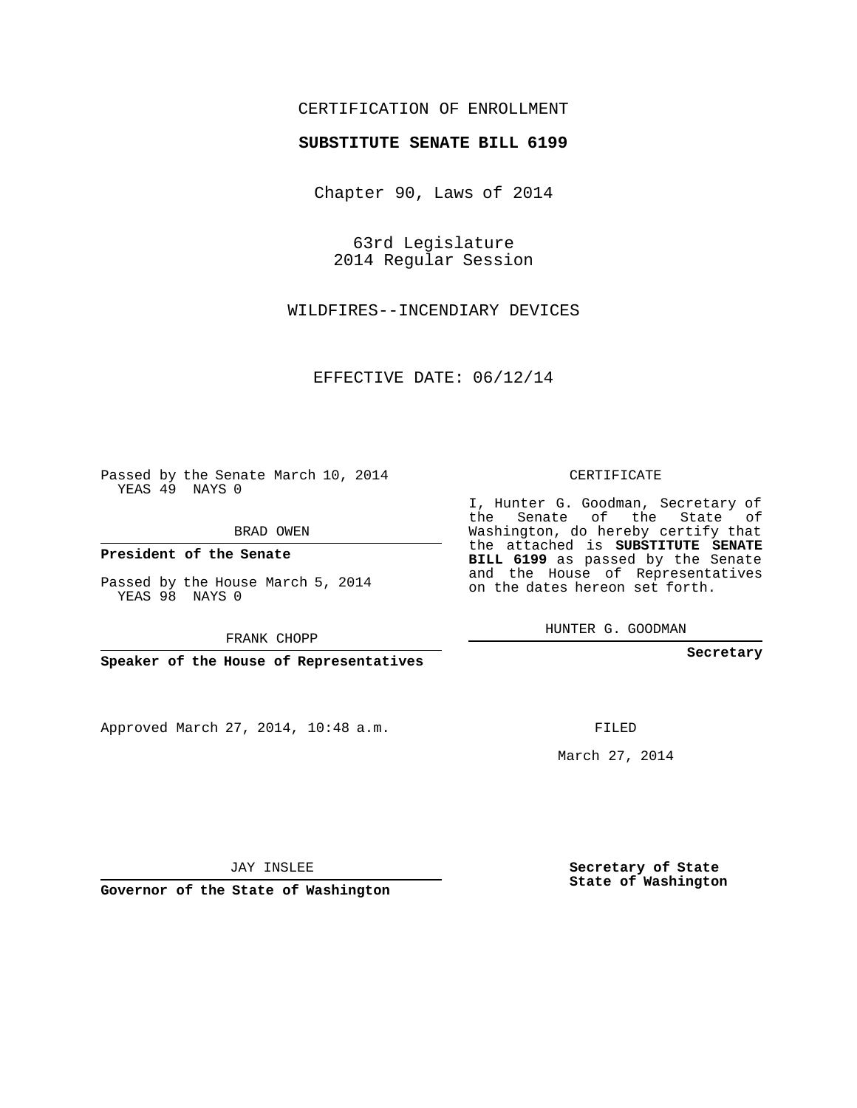## CERTIFICATION OF ENROLLMENT

## **SUBSTITUTE SENATE BILL 6199**

Chapter 90, Laws of 2014

63rd Legislature 2014 Regular Session

WILDFIRES--INCENDIARY DEVICES

EFFECTIVE DATE: 06/12/14

Passed by the Senate March 10, 2014 YEAS 49 NAYS 0

BRAD OWEN

**President of the Senate**

Passed by the House March 5, 2014 YEAS 98 NAYS 0

FRANK CHOPP

**Speaker of the House of Representatives**

Approved March 27, 2014, 10:48 a.m.

CERTIFICATE

I, Hunter G. Goodman, Secretary of the Senate of the State of Washington, do hereby certify that the attached is **SUBSTITUTE SENATE BILL 6199** as passed by the Senate and the House of Representatives on the dates hereon set forth.

HUNTER G. GOODMAN

**Secretary**

FILED

March 27, 2014

**Secretary of State State of Washington**

JAY INSLEE

**Governor of the State of Washington**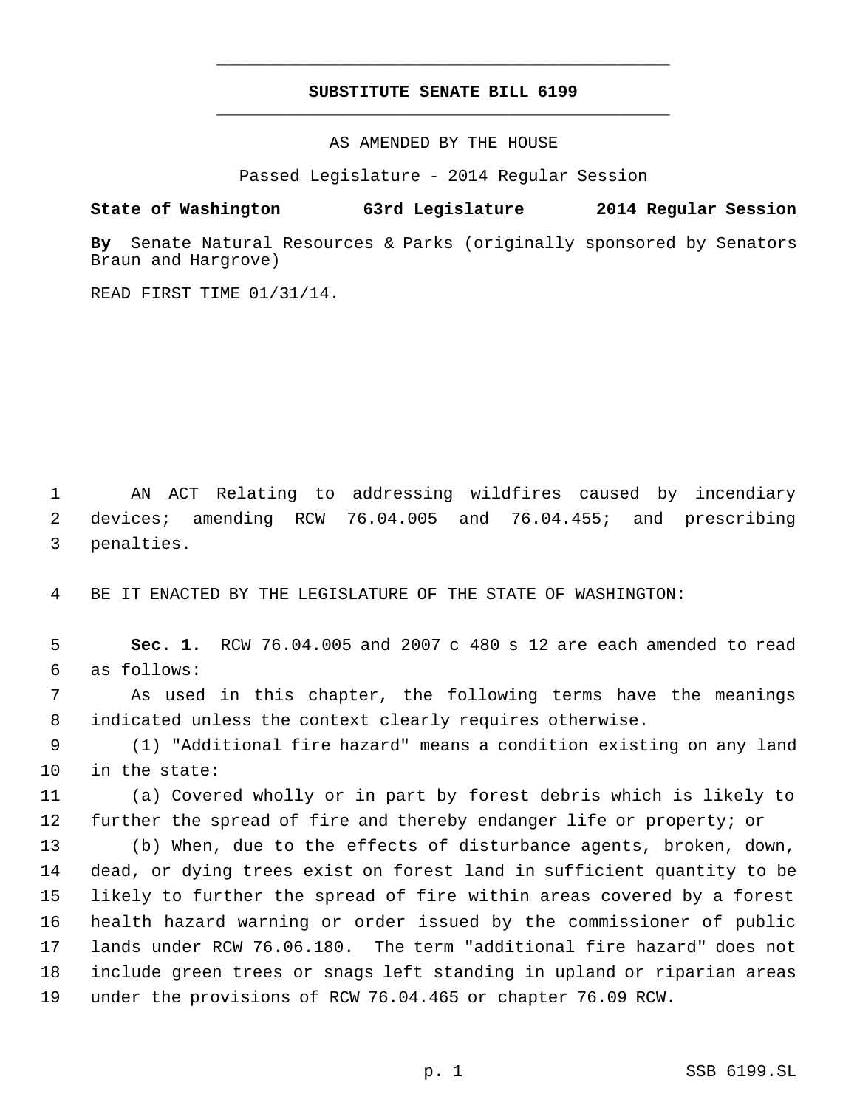## **SUBSTITUTE SENATE BILL 6199** \_\_\_\_\_\_\_\_\_\_\_\_\_\_\_\_\_\_\_\_\_\_\_\_\_\_\_\_\_\_\_\_\_\_\_\_\_\_\_\_\_\_\_\_\_

\_\_\_\_\_\_\_\_\_\_\_\_\_\_\_\_\_\_\_\_\_\_\_\_\_\_\_\_\_\_\_\_\_\_\_\_\_\_\_\_\_\_\_\_\_

AS AMENDED BY THE HOUSE

Passed Legislature - 2014 Regular Session

## **State of Washington 63rd Legislature 2014 Regular Session**

**By** Senate Natural Resources & Parks (originally sponsored by Senators Braun and Hargrove)

READ FIRST TIME 01/31/14.

 AN ACT Relating to addressing wildfires caused by incendiary devices; amending RCW 76.04.005 and 76.04.455; and prescribing penalties.

BE IT ENACTED BY THE LEGISLATURE OF THE STATE OF WASHINGTON:

 **Sec. 1.** RCW 76.04.005 and 2007 c 480 s 12 are each amended to read as follows:

 As used in this chapter, the following terms have the meanings indicated unless the context clearly requires otherwise.

 (1) "Additional fire hazard" means a condition existing on any land in the state:

 (a) Covered wholly or in part by forest debris which is likely to further the spread of fire and thereby endanger life or property; or

 (b) When, due to the effects of disturbance agents, broken, down, dead, or dying trees exist on forest land in sufficient quantity to be likely to further the spread of fire within areas covered by a forest health hazard warning or order issued by the commissioner of public lands under RCW 76.06.180. The term "additional fire hazard" does not include green trees or snags left standing in upland or riparian areas under the provisions of RCW 76.04.465 or chapter 76.09 RCW.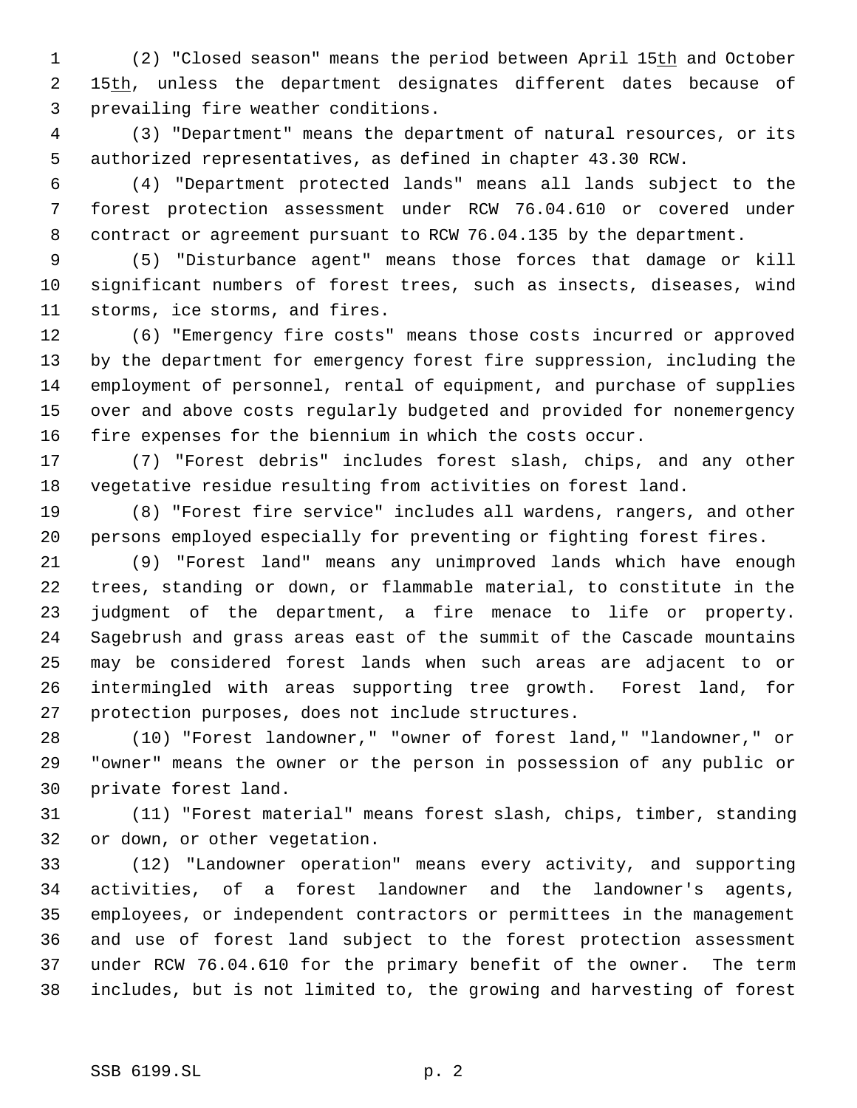(2) "Closed season" means the period between April 15th and October 2 15th, unless the department designates different dates because of prevailing fire weather conditions.

 (3) "Department" means the department of natural resources, or its authorized representatives, as defined in chapter 43.30 RCW.

 (4) "Department protected lands" means all lands subject to the forest protection assessment under RCW 76.04.610 or covered under contract or agreement pursuant to RCW 76.04.135 by the department.

 (5) "Disturbance agent" means those forces that damage or kill significant numbers of forest trees, such as insects, diseases, wind storms, ice storms, and fires.

 (6) "Emergency fire costs" means those costs incurred or approved by the department for emergency forest fire suppression, including the employment of personnel, rental of equipment, and purchase of supplies over and above costs regularly budgeted and provided for nonemergency fire expenses for the biennium in which the costs occur.

 (7) "Forest debris" includes forest slash, chips, and any other vegetative residue resulting from activities on forest land.

 (8) "Forest fire service" includes all wardens, rangers, and other persons employed especially for preventing or fighting forest fires.

 (9) "Forest land" means any unimproved lands which have enough trees, standing or down, or flammable material, to constitute in the judgment of the department, a fire menace to life or property. Sagebrush and grass areas east of the summit of the Cascade mountains may be considered forest lands when such areas are adjacent to or intermingled with areas supporting tree growth. Forest land, for protection purposes, does not include structures.

 (10) "Forest landowner," "owner of forest land," "landowner," or "owner" means the owner or the person in possession of any public or private forest land.

 (11) "Forest material" means forest slash, chips, timber, standing or down, or other vegetation.

 (12) "Landowner operation" means every activity, and supporting activities, of a forest landowner and the landowner's agents, employees, or independent contractors or permittees in the management and use of forest land subject to the forest protection assessment under RCW 76.04.610 for the primary benefit of the owner. The term includes, but is not limited to, the growing and harvesting of forest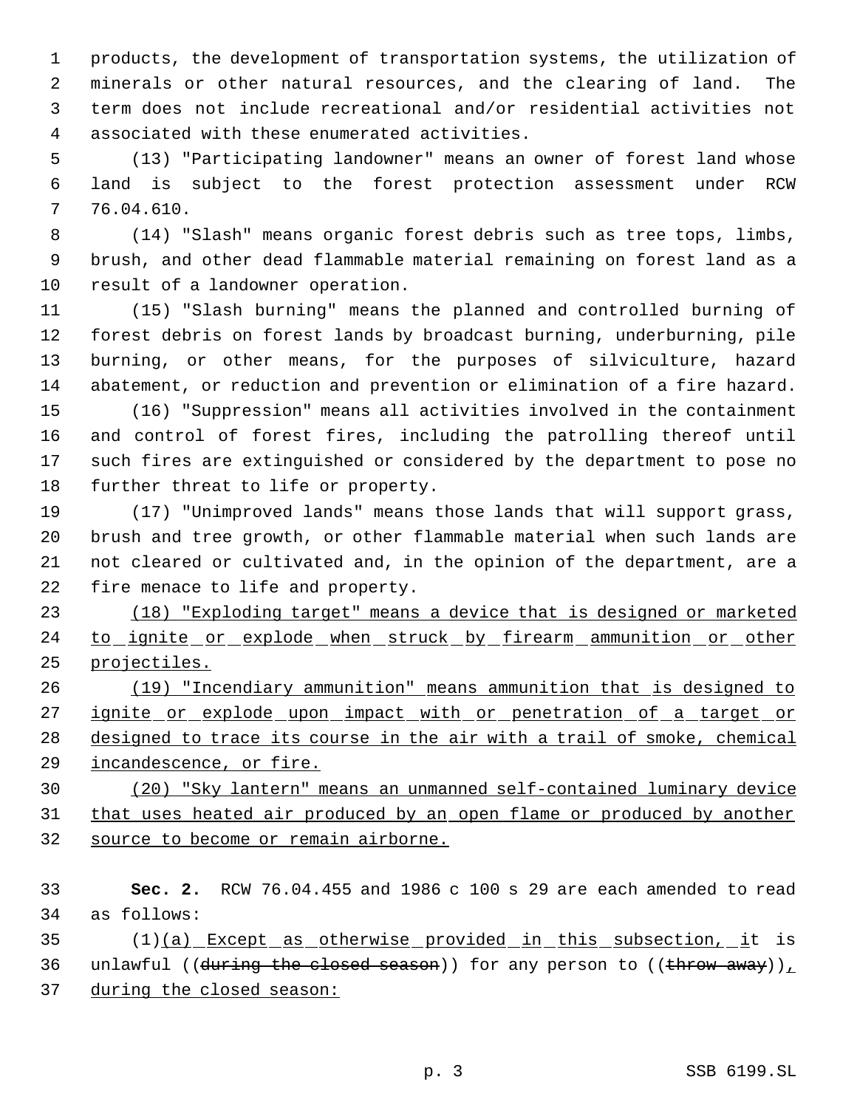products, the development of transportation systems, the utilization of minerals or other natural resources, and the clearing of land. The term does not include recreational and/or residential activities not associated with these enumerated activities.

 (13) "Participating landowner" means an owner of forest land whose land is subject to the forest protection assessment under RCW 76.04.610.

 (14) "Slash" means organic forest debris such as tree tops, limbs, brush, and other dead flammable material remaining on forest land as a result of a landowner operation.

 (15) "Slash burning" means the planned and controlled burning of forest debris on forest lands by broadcast burning, underburning, pile burning, or other means, for the purposes of silviculture, hazard abatement, or reduction and prevention or elimination of a fire hazard.

 (16) "Suppression" means all activities involved in the containment and control of forest fires, including the patrolling thereof until such fires are extinguished or considered by the department to pose no further threat to life or property.

 (17) "Unimproved lands" means those lands that will support grass, brush and tree growth, or other flammable material when such lands are not cleared or cultivated and, in the opinion of the department, are a fire menace to life and property.

 (18) "Exploding target" means a device that is designed or marketed 24 to ignite or explode when struck by firearm ammunition or other projectiles.

 (19) "Incendiary ammunition" means ammunition that is designed to 27 ignite or explode upon impact with or penetration of a target or designed to trace its course in the air with a trail of smoke, chemical 29 <u>incandescence, or fi</u>re.

 (20) "Sky lantern" means an unmanned self-contained luminary device 31 that uses heated air produced by an open flame or produced by another source to become or remain airborne.

 **Sec. 2.** RCW 76.04.455 and 1986 c 100 s 29 are each amended to read as follows:

 (1)(a) Except as otherwise provided in this subsection, it is 36 unlawful ((during the closed season)) for any person to ((throw away)),

during the closed season: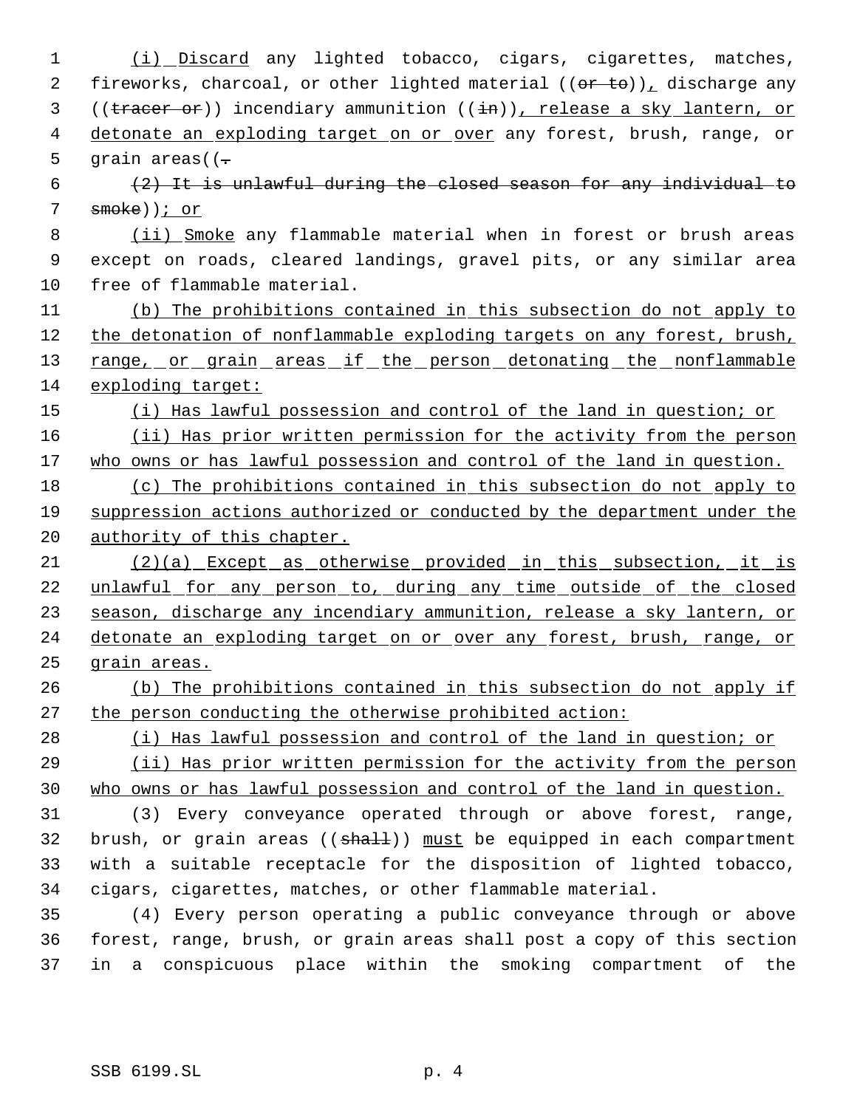1 (i) Discard any lighted tobacco, cigars, cigarettes, matches, 2 fireworks, charcoal, or other lighted material  $((or to))_1$  discharge any 3 ((tracer or)) incendiary ammunition ((in)), release a sky lantern, or 4 detonate an exploding target on or over any forest, brush, range, or 5 grain areas( $( (2)$  It is unlawful during the closed season for any individual to 7 smoke)); or 8 (ii) Smoke any flammable material when in forest or brush areas 9 except on roads, cleared landings, gravel pits, or any similar area 10 free of flammable material. 11 (b) The prohibitions contained in this subsection do not apply to 12 the detonation of nonflammable exploding targets on any forest, brush, 13 range, or grain areas if the person detonating the nonflammable 14 exploding target: 15 (i) Has lawful possession and control of the land in question; or 16 (ii) Has prior written permission for the activity from the person 17 who owns or has lawful possession and control of the land in question. 18 (c) The prohibitions contained in this subsection do not apply to 19 suppression actions authorized or conducted by the department under the 20 authority of this chapter. 21 (2)(a) Except as otherwise provided in this subsection, it is 22 unlawful for any person to, during any time outside of the closed 23 season, discharge any incendiary ammunition, release a sky lantern, or 24 detonate an exploding target on or over any forest, brush, range, or 25 grain areas. 26 (b) The prohibitions contained in this subsection do not apply if 27 the person conducting the otherwise prohibited action: 28 (i) Has lawful possession and control of the land in question; or 29 (ii) Has prior written permission for the activity from the person 30 who owns or has lawful possession and control of the land in question. 31 (3) Every conveyance operated through or above forest, range, 32 brush, or grain areas  $((shall))$  must be equipped in each compartment 33 with a suitable receptacle for the disposition of lighted tobacco, 34 cigars, cigarettes, matches, or other flammable material. 35 (4) Every person operating a public conveyance through or above 36 forest, range, brush, or grain areas shall post a copy of this section 37 in a conspicuous place within the smoking compartment of the